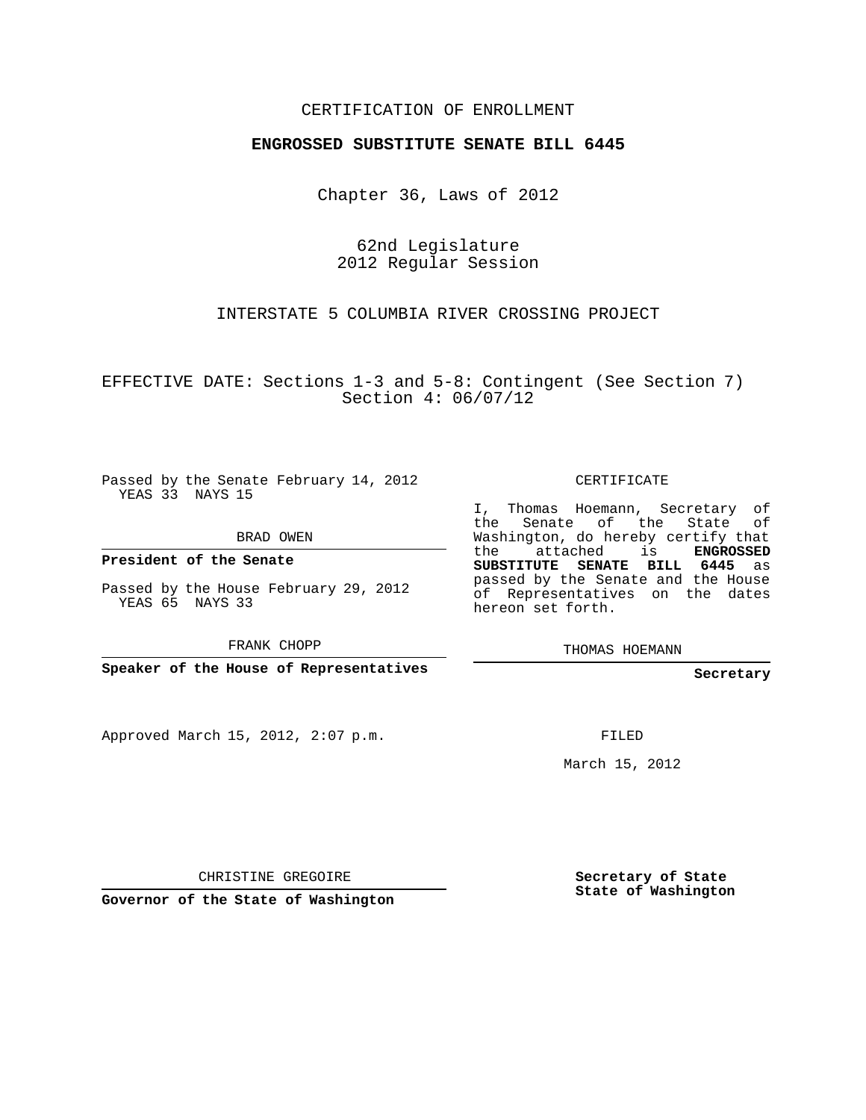## CERTIFICATION OF ENROLLMENT

## **ENGROSSED SUBSTITUTE SENATE BILL 6445**

Chapter 36, Laws of 2012

62nd Legislature 2012 Regular Session

INTERSTATE 5 COLUMBIA RIVER CROSSING PROJECT

EFFECTIVE DATE: Sections 1-3 and 5-8: Contingent (See Section 7) Section 4: 06/07/12

Passed by the Senate February 14, 2012 YEAS 33 NAYS 15

BRAD OWEN

**President of the Senate**

Passed by the House February 29, 2012 YEAS 65 NAYS 33

FRANK CHOPP

**Speaker of the House of Representatives**

Approved March 15, 2012, 2:07 p.m.

CERTIFICATE

I, Thomas Hoemann, Secretary of the Senate of the State of Washington, do hereby certify that the attached is **ENGROSSED SUBSTITUTE SENATE BILL 6445** as passed by the Senate and the House of Representatives on the dates hereon set forth.

THOMAS HOEMANN

**Secretary**

FILED

March 15, 2012

CHRISTINE GREGOIRE

**Governor of the State of Washington**

**Secretary of State State of Washington**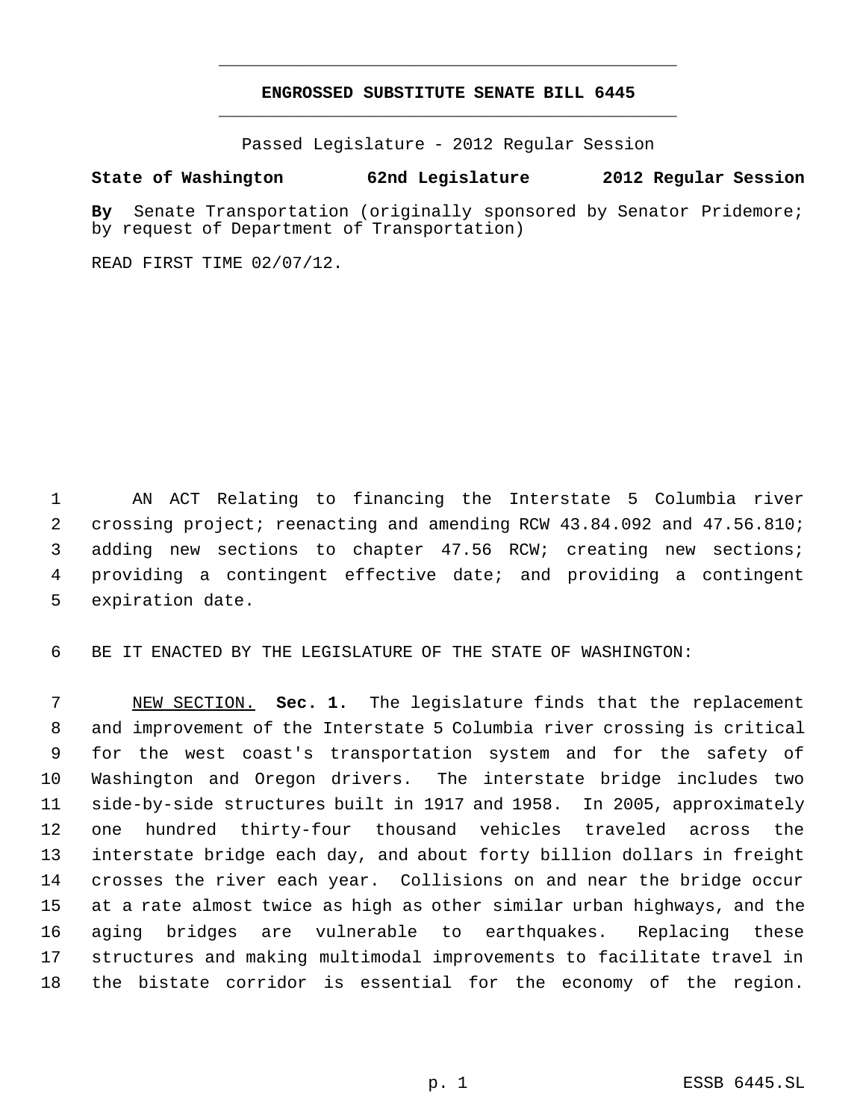## **ENGROSSED SUBSTITUTE SENATE BILL 6445** \_\_\_\_\_\_\_\_\_\_\_\_\_\_\_\_\_\_\_\_\_\_\_\_\_\_\_\_\_\_\_\_\_\_\_\_\_\_\_\_\_\_\_\_\_

\_\_\_\_\_\_\_\_\_\_\_\_\_\_\_\_\_\_\_\_\_\_\_\_\_\_\_\_\_\_\_\_\_\_\_\_\_\_\_\_\_\_\_\_\_

Passed Legislature - 2012 Regular Session

## **State of Washington 62nd Legislature 2012 Regular Session**

**By** Senate Transportation (originally sponsored by Senator Pridemore; by request of Department of Transportation)

READ FIRST TIME 02/07/12.

 AN ACT Relating to financing the Interstate 5 Columbia river crossing project; reenacting and amending RCW 43.84.092 and 47.56.810; adding new sections to chapter 47.56 RCW; creating new sections; providing a contingent effective date; and providing a contingent expiration date.

BE IT ENACTED BY THE LEGISLATURE OF THE STATE OF WASHINGTON:

 NEW SECTION. **Sec. 1.** The legislature finds that the replacement and improvement of the Interstate 5 Columbia river crossing is critical for the west coast's transportation system and for the safety of Washington and Oregon drivers. The interstate bridge includes two side-by-side structures built in 1917 and 1958. In 2005, approximately one hundred thirty-four thousand vehicles traveled across the interstate bridge each day, and about forty billion dollars in freight crosses the river each year. Collisions on and near the bridge occur at a rate almost twice as high as other similar urban highways, and the aging bridges are vulnerable to earthquakes. Replacing these structures and making multimodal improvements to facilitate travel in the bistate corridor is essential for the economy of the region.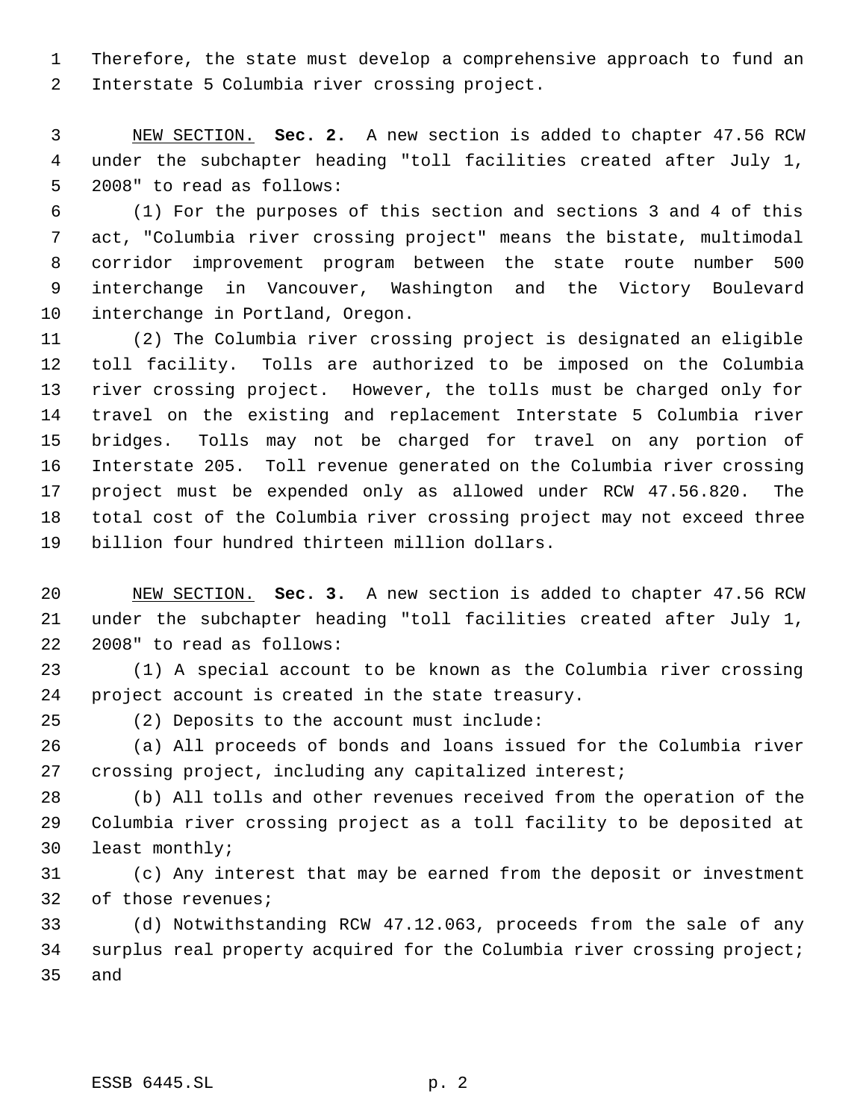Therefore, the state must develop a comprehensive approach to fund an Interstate 5 Columbia river crossing project.

 NEW SECTION. **Sec. 2.** A new section is added to chapter 47.56 RCW under the subchapter heading "toll facilities created after July 1, 2008" to read as follows:

 (1) For the purposes of this section and sections 3 and 4 of this act, "Columbia river crossing project" means the bistate, multimodal corridor improvement program between the state route number 500 interchange in Vancouver, Washington and the Victory Boulevard interchange in Portland, Oregon.

 (2) The Columbia river crossing project is designated an eligible toll facility. Tolls are authorized to be imposed on the Columbia river crossing project. However, the tolls must be charged only for travel on the existing and replacement Interstate 5 Columbia river bridges. Tolls may not be charged for travel on any portion of Interstate 205. Toll revenue generated on the Columbia river crossing project must be expended only as allowed under RCW 47.56.820. The total cost of the Columbia river crossing project may not exceed three billion four hundred thirteen million dollars.

 NEW SECTION. **Sec. 3.** A new section is added to chapter 47.56 RCW under the subchapter heading "toll facilities created after July 1, 2008" to read as follows:

 (1) A special account to be known as the Columbia river crossing project account is created in the state treasury.

(2) Deposits to the account must include:

 (a) All proceeds of bonds and loans issued for the Columbia river crossing project, including any capitalized interest;

 (b) All tolls and other revenues received from the operation of the Columbia river crossing project as a toll facility to be deposited at least monthly;

 (c) Any interest that may be earned from the deposit or investment of those revenues;

 (d) Notwithstanding RCW 47.12.063, proceeds from the sale of any surplus real property acquired for the Columbia river crossing project; and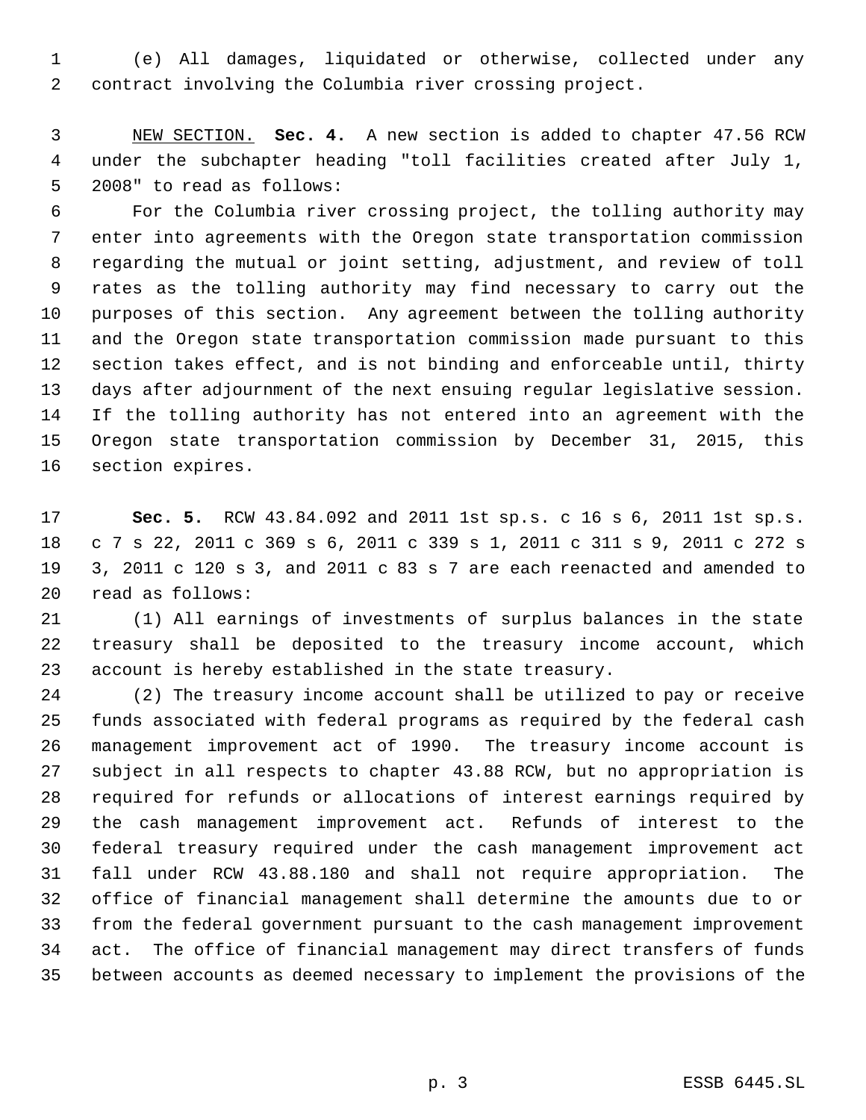(e) All damages, liquidated or otherwise, collected under any contract involving the Columbia river crossing project.

 NEW SECTION. **Sec. 4.** A new section is added to chapter 47.56 RCW under the subchapter heading "toll facilities created after July 1, 2008" to read as follows:

 For the Columbia river crossing project, the tolling authority may enter into agreements with the Oregon state transportation commission regarding the mutual or joint setting, adjustment, and review of toll rates as the tolling authority may find necessary to carry out the purposes of this section. Any agreement between the tolling authority and the Oregon state transportation commission made pursuant to this section takes effect, and is not binding and enforceable until, thirty days after adjournment of the next ensuing regular legislative session. If the tolling authority has not entered into an agreement with the Oregon state transportation commission by December 31, 2015, this section expires.

 **Sec. 5.** RCW 43.84.092 and 2011 1st sp.s. c 16 s 6, 2011 1st sp.s. c 7 s 22, 2011 c 369 s 6, 2011 c 339 s 1, 2011 c 311 s 9, 2011 c 272 s 3, 2011 c 120 s 3, and 2011 c 83 s 7 are each reenacted and amended to read as follows:

 (1) All earnings of investments of surplus balances in the state treasury shall be deposited to the treasury income account, which account is hereby established in the state treasury.

 (2) The treasury income account shall be utilized to pay or receive funds associated with federal programs as required by the federal cash management improvement act of 1990. The treasury income account is subject in all respects to chapter 43.88 RCW, but no appropriation is required for refunds or allocations of interest earnings required by the cash management improvement act. Refunds of interest to the federal treasury required under the cash management improvement act fall under RCW 43.88.180 and shall not require appropriation. The office of financial management shall determine the amounts due to or from the federal government pursuant to the cash management improvement act. The office of financial management may direct transfers of funds between accounts as deemed necessary to implement the provisions of the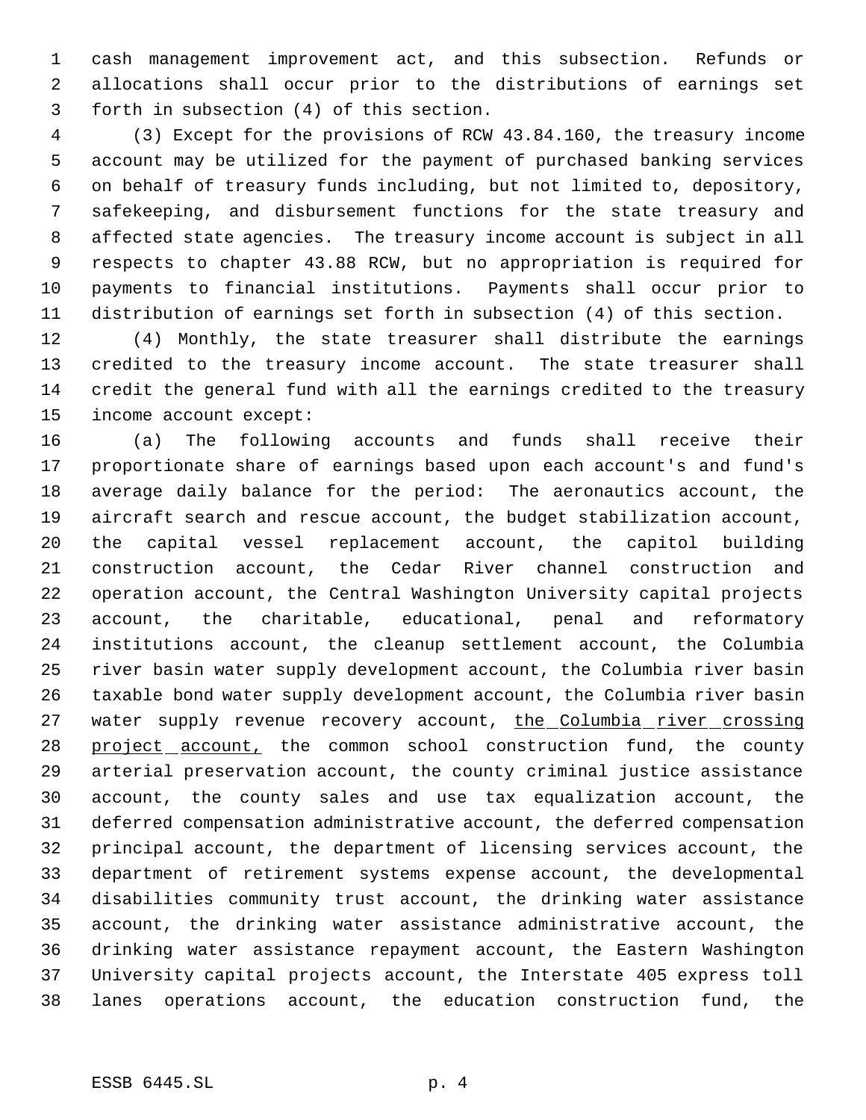cash management improvement act, and this subsection. Refunds or allocations shall occur prior to the distributions of earnings set forth in subsection (4) of this section.

 (3) Except for the provisions of RCW 43.84.160, the treasury income account may be utilized for the payment of purchased banking services on behalf of treasury funds including, but not limited to, depository, safekeeping, and disbursement functions for the state treasury and affected state agencies. The treasury income account is subject in all respects to chapter 43.88 RCW, but no appropriation is required for payments to financial institutions. Payments shall occur prior to distribution of earnings set forth in subsection (4) of this section.

 (4) Monthly, the state treasurer shall distribute the earnings credited to the treasury income account. The state treasurer shall credit the general fund with all the earnings credited to the treasury income account except:

 (a) The following accounts and funds shall receive their proportionate share of earnings based upon each account's and fund's average daily balance for the period: The aeronautics account, the aircraft search and rescue account, the budget stabilization account, the capital vessel replacement account, the capitol building construction account, the Cedar River channel construction and operation account, the Central Washington University capital projects account, the charitable, educational, penal and reformatory institutions account, the cleanup settlement account, the Columbia river basin water supply development account, the Columbia river basin taxable bond water supply development account, the Columbia river basin 27 water supply revenue recovery account, the Columbia river crossing 28 project account, the common school construction fund, the county arterial preservation account, the county criminal justice assistance account, the county sales and use tax equalization account, the deferred compensation administrative account, the deferred compensation principal account, the department of licensing services account, the department of retirement systems expense account, the developmental disabilities community trust account, the drinking water assistance account, the drinking water assistance administrative account, the drinking water assistance repayment account, the Eastern Washington University capital projects account, the Interstate 405 express toll lanes operations account, the education construction fund, the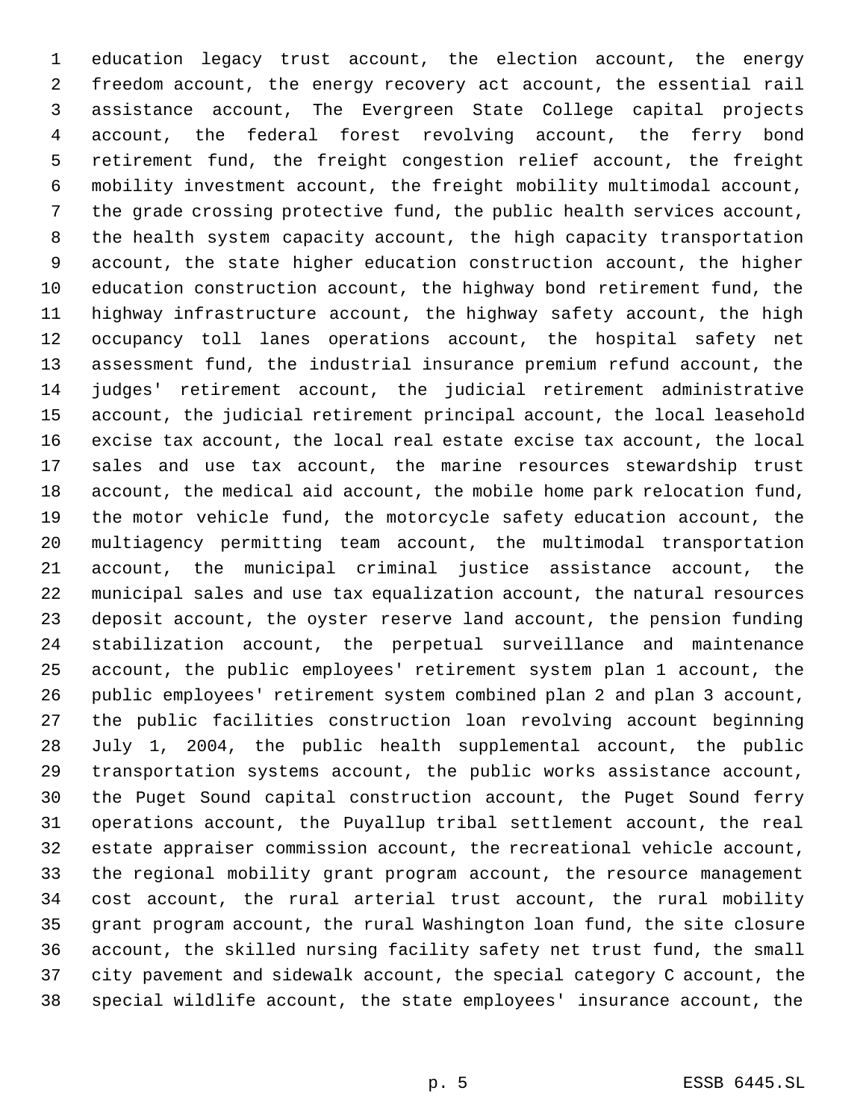education legacy trust account, the election account, the energy freedom account, the energy recovery act account, the essential rail assistance account, The Evergreen State College capital projects account, the federal forest revolving account, the ferry bond retirement fund, the freight congestion relief account, the freight mobility investment account, the freight mobility multimodal account, the grade crossing protective fund, the public health services account, the health system capacity account, the high capacity transportation account, the state higher education construction account, the higher education construction account, the highway bond retirement fund, the highway infrastructure account, the highway safety account, the high occupancy toll lanes operations account, the hospital safety net assessment fund, the industrial insurance premium refund account, the judges' retirement account, the judicial retirement administrative account, the judicial retirement principal account, the local leasehold excise tax account, the local real estate excise tax account, the local sales and use tax account, the marine resources stewardship trust account, the medical aid account, the mobile home park relocation fund, the motor vehicle fund, the motorcycle safety education account, the multiagency permitting team account, the multimodal transportation account, the municipal criminal justice assistance account, the municipal sales and use tax equalization account, the natural resources deposit account, the oyster reserve land account, the pension funding stabilization account, the perpetual surveillance and maintenance account, the public employees' retirement system plan 1 account, the public employees' retirement system combined plan 2 and plan 3 account, the public facilities construction loan revolving account beginning July 1, 2004, the public health supplemental account, the public transportation systems account, the public works assistance account, the Puget Sound capital construction account, the Puget Sound ferry operations account, the Puyallup tribal settlement account, the real estate appraiser commission account, the recreational vehicle account, the regional mobility grant program account, the resource management cost account, the rural arterial trust account, the rural mobility grant program account, the rural Washington loan fund, the site closure account, the skilled nursing facility safety net trust fund, the small city pavement and sidewalk account, the special category C account, the special wildlife account, the state employees' insurance account, the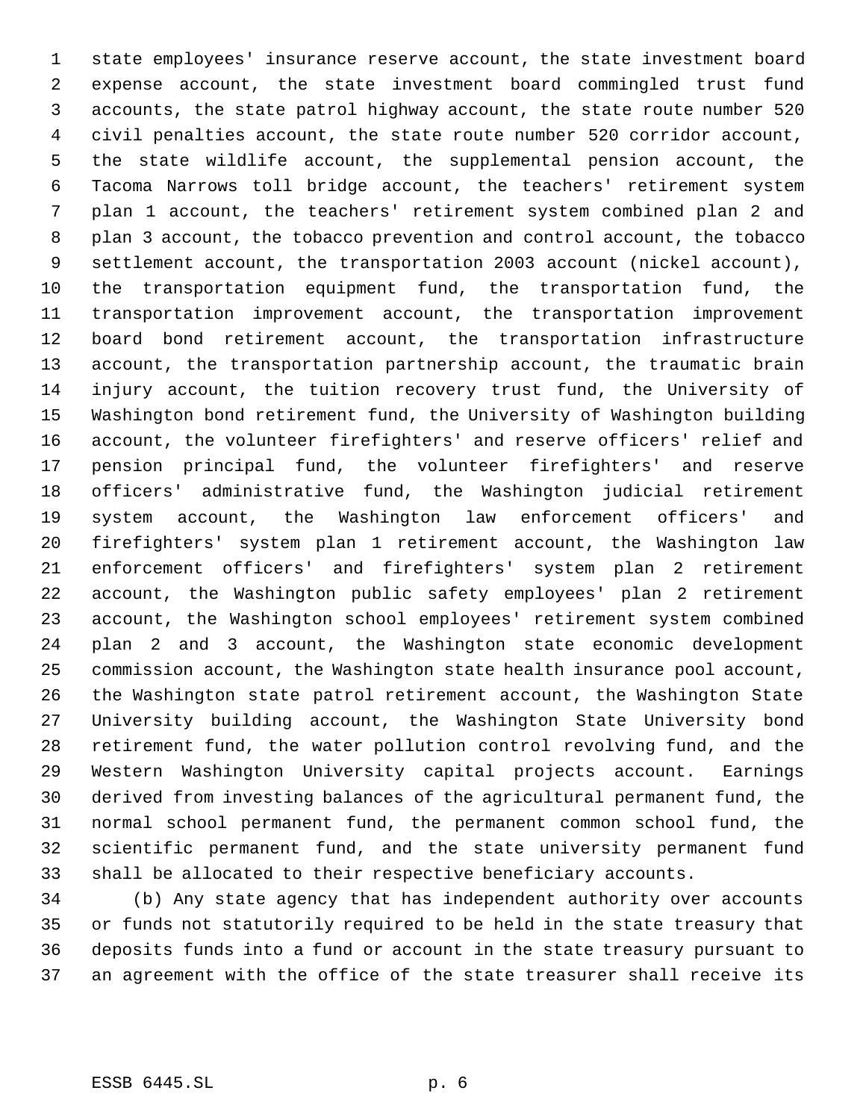state employees' insurance reserve account, the state investment board expense account, the state investment board commingled trust fund accounts, the state patrol highway account, the state route number 520 civil penalties account, the state route number 520 corridor account, the state wildlife account, the supplemental pension account, the Tacoma Narrows toll bridge account, the teachers' retirement system plan 1 account, the teachers' retirement system combined plan 2 and plan 3 account, the tobacco prevention and control account, the tobacco settlement account, the transportation 2003 account (nickel account), the transportation equipment fund, the transportation fund, the transportation improvement account, the transportation improvement board bond retirement account, the transportation infrastructure account, the transportation partnership account, the traumatic brain injury account, the tuition recovery trust fund, the University of Washington bond retirement fund, the University of Washington building account, the volunteer firefighters' and reserve officers' relief and pension principal fund, the volunteer firefighters' and reserve officers' administrative fund, the Washington judicial retirement system account, the Washington law enforcement officers' and firefighters' system plan 1 retirement account, the Washington law enforcement officers' and firefighters' system plan 2 retirement account, the Washington public safety employees' plan 2 retirement account, the Washington school employees' retirement system combined plan 2 and 3 account, the Washington state economic development commission account, the Washington state health insurance pool account, the Washington state patrol retirement account, the Washington State University building account, the Washington State University bond retirement fund, the water pollution control revolving fund, and the Western Washington University capital projects account. Earnings derived from investing balances of the agricultural permanent fund, the normal school permanent fund, the permanent common school fund, the scientific permanent fund, and the state university permanent fund shall be allocated to their respective beneficiary accounts.

 (b) Any state agency that has independent authority over accounts or funds not statutorily required to be held in the state treasury that deposits funds into a fund or account in the state treasury pursuant to an agreement with the office of the state treasurer shall receive its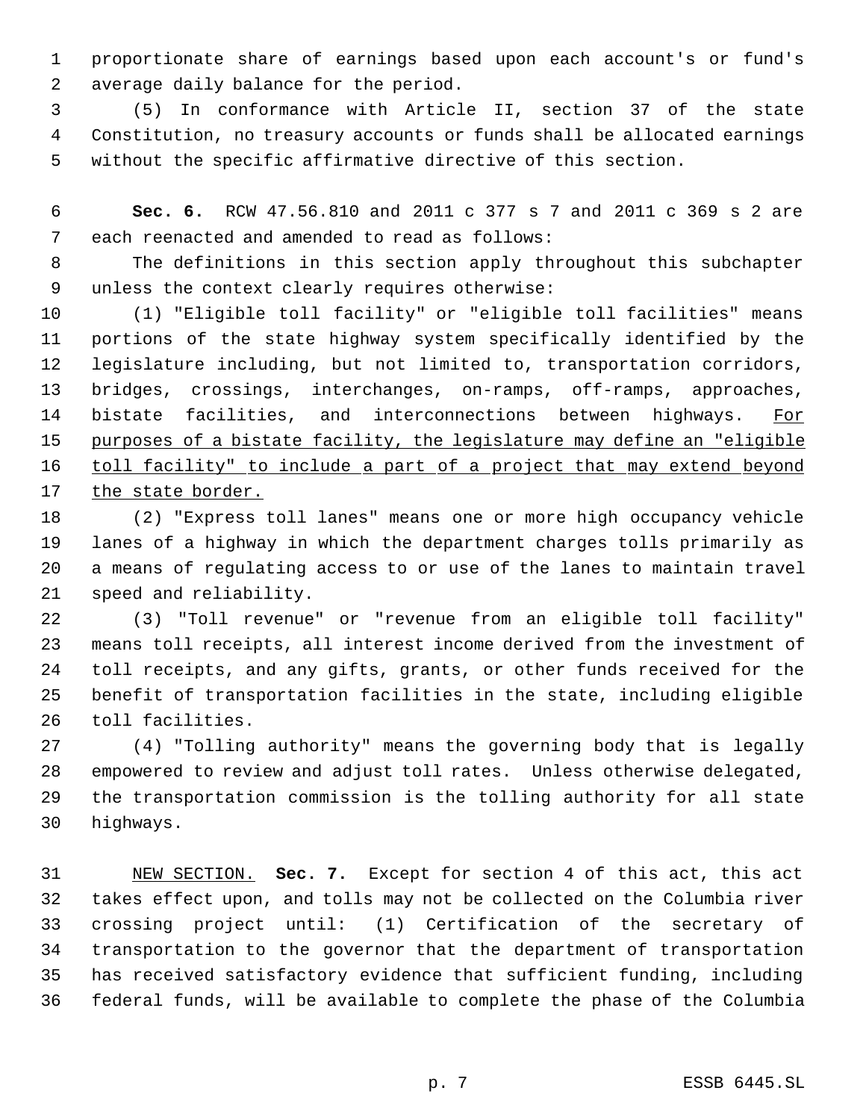proportionate share of earnings based upon each account's or fund's average daily balance for the period.

 (5) In conformance with Article II, section 37 of the state Constitution, no treasury accounts or funds shall be allocated earnings without the specific affirmative directive of this section.

 **Sec. 6.** RCW 47.56.810 and 2011 c 377 s 7 and 2011 c 369 s 2 are each reenacted and amended to read as follows:

 The definitions in this section apply throughout this subchapter unless the context clearly requires otherwise:

 (1) "Eligible toll facility" or "eligible toll facilities" means portions of the state highway system specifically identified by the legislature including, but not limited to, transportation corridors, bridges, crossings, interchanges, on-ramps, off-ramps, approaches, 14 bistate facilities, and interconnections between highways. For purposes of a bistate facility, the legislature may define an "eligible 16 toll facility" to include a part of a project that may extend beyond the state border.

 (2) "Express toll lanes" means one or more high occupancy vehicle lanes of a highway in which the department charges tolls primarily as a means of regulating access to or use of the lanes to maintain travel speed and reliability.

 (3) "Toll revenue" or "revenue from an eligible toll facility" means toll receipts, all interest income derived from the investment of toll receipts, and any gifts, grants, or other funds received for the benefit of transportation facilities in the state, including eligible toll facilities.

 (4) "Tolling authority" means the governing body that is legally empowered to review and adjust toll rates. Unless otherwise delegated, the transportation commission is the tolling authority for all state highways.

 NEW SECTION. **Sec. 7.** Except for section 4 of this act, this act takes effect upon, and tolls may not be collected on the Columbia river crossing project until: (1) Certification of the secretary of transportation to the governor that the department of transportation has received satisfactory evidence that sufficient funding, including federal funds, will be available to complete the phase of the Columbia